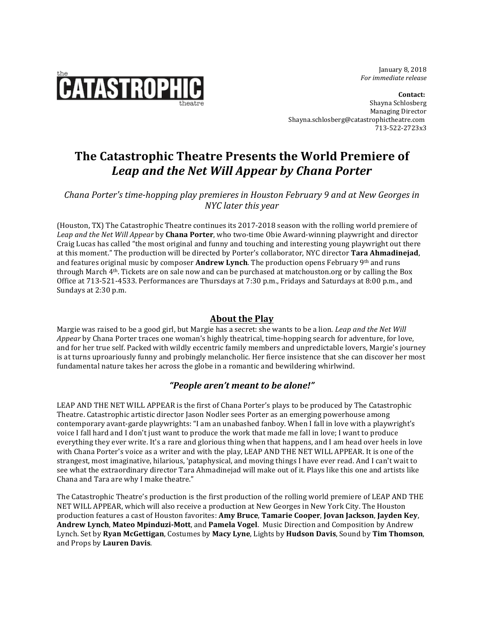

 January 8, 2018  *For immediate release*

**Contact:** Shayna Schlosberg Managing Director Shayna.schlosberg@catastrophictheatre.com 713-522-2723x3

# **The Catastrophic Theatre Presents the World Premiere of** *Leap and the Net Will Appear by Chana Porter*

*Chana Porter's time-hopping play premieres in Houston February* 9 and at New Georges in *NYC later this year*

(Houston, TX) The Catastrophic Theatre continues its 2017-2018 season with the rolling world premiere of Leap and the Net Will Appear by **Chana Porter**, who two-time Obie Award-winning playwright and director Craig Lucas has called "the most original and funny and touching and interesting young playwright out there at this moment." The production will be directed by Porter's collaborator, NYC director **Tara Ahmadinejad**, and features original music by composer **Andrew Lynch**. The production opens February 9th and runs through March 4<sup>th</sup>. Tickets are on sale now and can be purchased at matchouston.org or by calling the Box Office at 713-521-4533. Performances are Thursdays at 7:30 p.m., Fridays and Saturdays at 8:00 p.m., and Sundays at 2:30 p.m.

## **About the Play**

Margie was raised to be a good girl, but Margie has a secret: she wants to be a lion. *Leap and the Net Will Appear* by Chana Porter traces one woman's highly theatrical, time-hopping search for adventure, for love, and for her true self. Packed with wildly eccentric family members and unpredictable lovers, Margie's journey is at turns uproariously funny and probingly melancholic. Her fierce insistence that she can discover her most fundamental nature takes her across the globe in a romantic and bewildering whirlwind.

## *"People aren't meant to be alone!"*

LEAP AND THE NET WILL APPEAR is the first of Chana Porter's plays to be produced by The Catastrophic Theatre. Catastrophic artistic director Jason Nodler sees Porter as an emerging powerhouse among contemporary avant-garde playwrights: "I am an unabashed fanboy. When I fall in love with a playwright's voice I fall hard and I don't just want to produce the work that made me fall in love; I want to produce everything they ever write. It's a rare and glorious thing when that happens, and I am head over heels in love with Chana Porter's voice as a writer and with the play, LEAP AND THE NET WILL APPEAR. It is one of the strangest, most imaginative, hilarious, 'pataphysical, and moving things I have ever read. And I can't wait to see what the extraordinary director Tara Ahmadinejad will make out of it. Plays like this one and artists like Chana and Tara are why I make theatre."

The Catastrophic Theatre's production is the first production of the rolling world premiere of LEAP AND THE NET WILL APPEAR, which will also receive a production at New Georges in New York City. The Houston production features a cast of Houston favorites: **Amy Bruce**, **Tamarie Cooper**, **Jovan Jackson**, **Jayden Key**, **Andrew Lynch, Mateo Mpinduzi-Mott, and Pamela Vogel. Music Direction and Composition by Andrew** Lynch. Set by **Ryan McGettigan**, Costumes by **Macy Lyne**, Lights by **Hudson Davis**, Sound by **Tim Thomson**, and Props by **Lauren Davis**.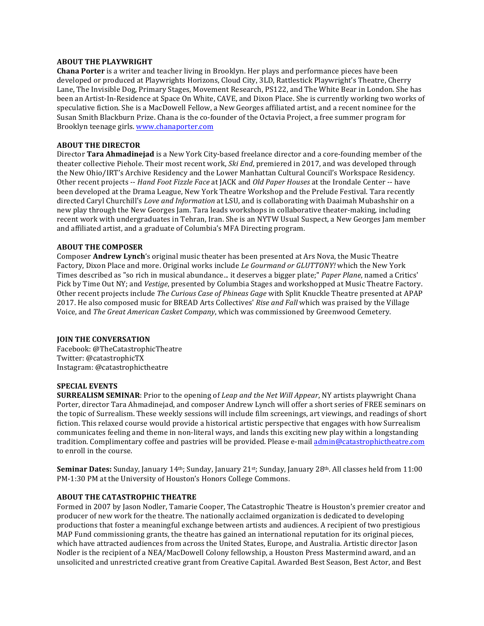#### **ABOUT THE PLAYWRIGHT**

**Chana Porter** is a writer and teacher living in Brooklyn. Her plays and performance pieces have been developed or produced at Playwrights Horizons, Cloud City, 3LD, Rattlestick Playwright's Theatre, Cherry Lane, The Invisible Dog, Primary Stages, Movement Research, PS122, and The White Bear in London. She has been an Artist-In-Residence at Space On White, CAVE, and Dixon Place. She is currently working two works of speculative fiction. She is a MacDowell Fellow, a New Georges affiliated artist, and a recent nominee for the Susan Smith Blackburn Prize. Chana is the co-founder of the Octavia Project, a free summer program for Brooklyn teenage girls. www.chanaporter.com

### **ABOUT THE DIRECTOR**

Director **Tara Ahmadinejad** is a New York City-based freelance director and a core-founding member of the theater collective Piehole. Their most recent work, *Ski End*, premiered in 2017, and was developed through the New Ohio/IRT's Archive Residency and the Lower Manhattan Cultural Council's Workspace Residency. Other recent projects -- *Hand Foot Fizzle Face* at JACK and *Old Paper Houses* at the Irondale Center -- have been developed at the Drama League, New York Theatre Workshop and the Prelude Festival. Tara recently directed Caryl Churchill's *Love and Information* at LSU, and is collaborating with Daaimah Mubashshir on a new play through the New Georges Jam. Tara leads workshops in collaborative theater-making, including recent work with undergraduates in Tehran, Iran. She is an NYTW Usual Suspect, a New Georges Jam member and affiliated artist, and a graduate of Columbia's MFA Directing program.

#### **ABOUT THE COMPOSER**

**Composer Andrew Lynch's original music theater has been presented at Ars Nova, the Music Theatre** Factory, Dixon Place and more. Original works include *Le Gourmand or GLUTTONY!* which the New York Times described as "so rich in musical abundance... it deserves a bigger plate;" *Paper Plane*, named a Critics' Pick by Time Out NY; and *Vestige*, presented by Columbia Stages and workshopped at Music Theatre Factory. Other recent projects include *The Curious Case of Phineas Gage* with Split Knuckle Theatre presented at APAP 2017. He also composed music for BREAD Arts Collectives' *Rise and Fall* which was praised by the Village Voice, and *The Great American Casket Company*, which was commissioned by Greenwood Cemetery.

#### **JOIN THE CONVERSATION**

Facebook: @TheCatastrophicTheatre Twitter: @catastrophicTX Instagram: @catastrophictheatre

#### **SPECIAL EVENTS**

**SURREALISM SEMINAR**: Prior to the opening of *Leap and the Net Will Appear*, NY artists playwright Chana Porter, director Tara Ahmadinejad, and composer Andrew Lynch will offer a short series of FREE seminars on the topic of Surrealism. These weekly sessions will include film screenings, art viewings, and readings of short fiction. This relaxed course would provide a historical artistic perspective that engages with how Surrealism communicates feeling and theme in non-literal ways, and lands this exciting new play within a longstanding tradition. Complimentary coffee and pastries will be provided. Please e-mail admin@catastrophictheatre.com to enroll in the course.

**Seminar Dates:** Sunday, January 14<sup>th</sup>; Sunday, January 21<sup>st</sup>; Sunday, January 28<sup>th</sup>. All classes held from 11:00 PM-1:30 PM at the University of Houston's Honors College Commons.

#### **ABOUT THE CATASTROPHIC THEATRE**

Formed in 2007 by Jason Nodler, Tamarie Cooper, The Catastrophic Theatre is Houston's premier creator and producer of new work for the theatre. The nationally acclaimed organization is dedicated to developing productions that foster a meaningful exchange between artists and audiences. A recipient of two prestigious MAP Fund commissioning grants, the theatre has gained an international reputation for its original pieces, which have attracted audiences from across the United States, Europe, and Australia. Artistic director Jason Nodler is the recipient of a NEA/MacDowell Colony fellowship, a Houston Press Mastermind award, and an unsolicited and unrestricted creative grant from Creative Capital. Awarded Best Season, Best Actor, and Best